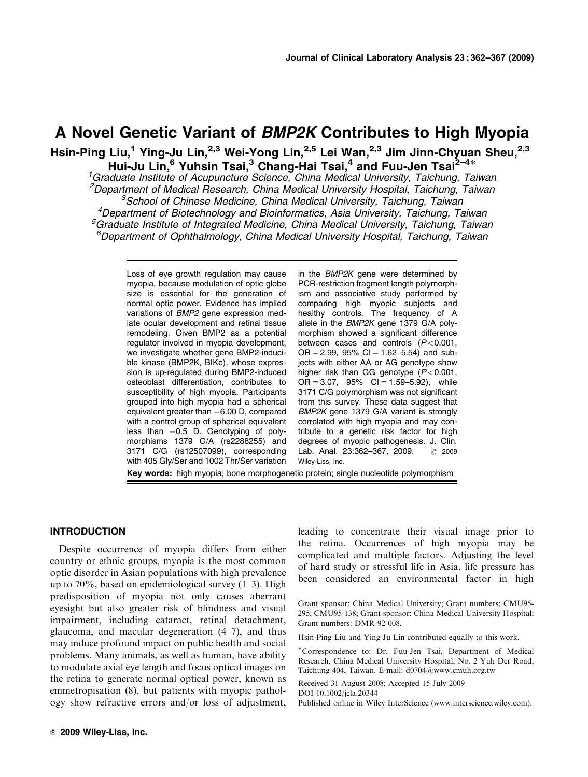# A Novel Genetic Variant of BMP2K Contributes to High Myopia

Hsin-Ping Liu,<sup>1</sup> Ying-Ju Lin,<sup>2,3</sup> Wei-Yong Lin,<sup>2,5</sup> Lei Wan,<sup>2,3</sup> Jim Jinn-Chyuan Sheu,<sup>2,3</sup> Hui-Ju Lin,<sup>6</sup> Yuhsin Tsai,<sup>3</sup> Chang-Hai Tsai,<sup>4</sup> and Fuu-Jen Tsai<sup>2–4\*</sup><br><sup>1</sup>Graduate Institute of Acupuncture Science, China Medical University, Taichung, Taiwan<sup>1</sup>

<sup>2</sup>Department of Medical Research, China Medical University Hospital, Taichung, Taiwan 3 School of Chinese Medicine, China Medical University, Taichung, Taiwan 4 Department of Biotechnology and Bioinformatics, Asia University, Taichung, Taiwan <sup>5</sup>Graduate Institute of Integrated Medicine, China Medical University, Taichung, Taiwan 6 Department of Ophthalmology, China Medical University Hospital, Taichung, Taiwan

Loss of eye growth regulation may cause myopia, because modulation of optic globe size is essential for the generation of normal optic power. Evidence has implied variations of BMP2 gene expression mediate ocular development and retinal tissue remodeling. Given BMP2 as a potential regulator involved in myopia development, we investigate whether gene BMP2-inducible kinase (BMP2K, BIKe), whose expression is up-regulated during BMP2-induced osteoblast differentiation, contributes to susceptibility of high myopia. Participants grouped into high myopia had a spherical equivalent greater than  $-$ 6.00 D, compared with a control group of spherical equivalent less than -0.5 D. Genotyping of polymorphisms 1379 G/A (rs2288255) and 3171 C/G (rs12507099), corresponding with 405 Gly/Ser and 1002 Thr/Ser variation

in the BMP2K gene were determined by PCR-restriction fragment length polymorphism and associative study performed by comparing high myopic subjects and healthy controls. The frequency of A allele in the BMP2K gene 1379 G/A polymorphism showed a significant difference between cases and controls  $(P<0.001$ ,  $OR = 2.99$ , 95% CI = 1.62–5.54) and subjects with either AA or AG genotype show higher risk than GG genotype  $(P<0.001$ ,  $OR = 3.07$ ,  $95\%$   $Cl = 1.59 - 5.92$ ), while 3171 C/G polymorphism was not significant from this survey. These data suggest that BMP2K gene 1379 G/A variant is strongly correlated with high myopia and may contribute to a genetic risk factor for high degrees of myopic pathogenesis. J. Clin. Lab. Anal. 23:362-367, 2009. **C** 2009 Wiley-Liss, Inc.

Key words: high myopia; bone morphogenetic protein; single nucleotide polymorphism

## INTRODUCTION

Despite occurrence of myopia differs from either country or ethnic groups, myopia is the most common optic disorder in Asian populations with high prevalence up to 70%, based on epidemiological survey (1–3). High predisposition of myopia not only causes aberrant eyesight but also greater risk of blindness and visual impairment, including cataract, retinal detachment, glaucoma, and macular degeneration (4–7), and thus may induce profound impact on public health and social problems. Many animals, as well as human, have ability to modulate axial eye length and focus optical images on the retina to generate normal optical power, known as emmetropisation (8), but patients with myopic pathology show refractive errors and/or loss of adjustment, leading to concentrate their visual image prior to the retina. Occurrences of high myopia may be complicated and multiple factors. Adjusting the level of hard study or stressful life in Asia, life pressure has been considered an environmental factor in high

Received 31 August 2008; Accepted 15 July 2009

DOI 10.1002/jcla.20344

Grant sponsor: China Medical University; Grant numbers: CMU95- 295; CMU95-138; Grant sponsor: China Medical University Hospital; Grant numbers: DMR-92-008.

Hsin-Ping Liu and Ying-Ju Lin contributed equally to this work.

<sup>-</sup>Correspondence to: Dr. Fuu-Jen Tsai, Department of Medical Research, China Medical University Hospital, No. 2 Yuh Der Road, Taichung 404, Taiwan. E-mail: d0704@www.cmuh.org.tw

Published online in Wiley InterScience (www.interscience.wiley.com).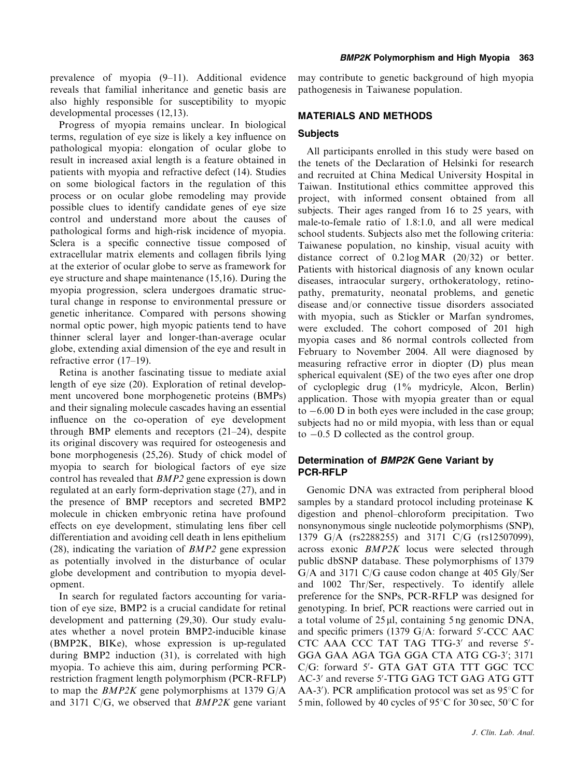prevalence of myopia (9–11). Additional evidence reveals that familial inheritance and genetic basis are also highly responsible for susceptibility to myopic developmental processes (12,13).

Progress of myopia remains unclear. In biological terms, regulation of eye size is likely a key influence on pathological myopia: elongation of ocular globe to result in increased axial length is a feature obtained in patients with myopia and refractive defect (14). Studies on some biological factors in the regulation of this process or on ocular globe remodeling may provide possible clues to identify candidate genes of eye size control and understand more about the causes of pathological forms and high-risk incidence of myopia. Sclera is a specific connective tissue composed of extracellular matrix elements and collagen fibrils lying at the exterior of ocular globe to serve as framework for eye structure and shape maintenance (15,16). During the myopia progression, sclera undergoes dramatic structural change in response to environmental pressure or genetic inheritance. Compared with persons showing normal optic power, high myopic patients tend to have thinner scleral layer and longer-than-average ocular globe, extending axial dimension of the eye and result in refractive error (17–19).

Retina is another fascinating tissue to mediate axial length of eye size (20). Exploration of retinal development uncovered bone morphogenetic proteins (BMPs) and their signaling molecule cascades having an essential influence on the co-operation of eye development through BMP elements and receptors (21–24), despite its original discovery was required for osteogenesis and bone morphogenesis (25,26). Study of chick model of myopia to search for biological factors of eye size control has revealed that BMP2 gene expression is down regulated at an early form-deprivation stage (27), and in the presence of BMP receptors and secreted BMP2 molecule in chicken embryonic retina have profound effects on eye development, stimulating lens fiber cell differentiation and avoiding cell death in lens epithelium (28), indicating the variation of  $BMP2$  gene expression as potentially involved in the disturbance of ocular globe development and contribution to myopia development.

In search for regulated factors accounting for variation of eye size, BMP2 is a crucial candidate for retinal development and patterning (29,30). Our study evaluates whether a novel protein BMP2-inducible kinase (BMP2K, BIKe), whose expression is up-regulated during BMP2 induction (31), is correlated with high myopia. To achieve this aim, during performing PCRrestriction fragment length polymorphism (PCR-RFLP) to map the BMP2K gene polymorphisms at 1379 G/A and 3171 C/G, we observed that  $BMP2K$  gene variant

may contribute to genetic background of high myopia pathogenesis in Taiwanese population.

## MATERIALS AND METHODS

## **Subjects**

All participants enrolled in this study were based on the tenets of the Declaration of Helsinki for research and recruited at China Medical University Hospital in Taiwan. Institutional ethics committee approved this project, with informed consent obtained from all subjects. Their ages ranged from 16 to 25 years, with male-to-female ratio of 1.8:1.0, and all were medical school students. Subjects also met the following criteria: Taiwanese population, no kinship, visual acuity with distance correct of 0.2 log MAR (20/32) or better. Patients with historical diagnosis of any known ocular diseases, intraocular surgery, orthokeratology, retinopathy, prematurity, neonatal problems, and genetic disease and/or connective tissue disorders associated with myopia, such as Stickler or Marfan syndromes, were excluded. The cohort composed of 201 high myopia cases and 86 normal controls collected from February to November 2004. All were diagnosed by measuring refractive error in diopter (D) plus mean spherical equivalent (SE) of the two eyes after one drop of cycloplegic drug (1% mydricyle, Alcon, Berlin) application. Those with myopia greater than or equal  $\text{to } -6.00 \text{ D}$  in both eyes were included in the case group; subjects had no or mild myopia, with less than or equal to -0.5 D collected as the control group.

# Determination of BMP2K Gene Variant by PCR-RFLP

Genomic DNA was extracted from peripheral blood samples by a standard protocol including proteinase K digestion and phenol–chloroform precipitation. Two nonsynonymous single nucleotide polymorphisms (SNP), 1379 G/A (rs2288255) and 3171 C/G (rs12507099), across exonic BMP2K locus were selected through public dbSNP database. These polymorphisms of 1379 G/A and 3171 C/G cause codon change at 405 Gly/Ser and 1002 Thr/Ser, respectively. To identify allele preference for the SNPs, PCR-RFLP was designed for genotyping. In brief, PCR reactions were carried out in a total volume of  $25 \mu l$ , containing  $5 \text{ ng genomic DNA}$ , and specific primers (1379 G/A: forward 5'-CCC AAC CTC AAA CCC TAT TAG TTG-3' and reverse 5'-GGA GAA AGA TGA GGA CTA ATG CG-3'; 3171 C/G: forward 5'- GTA GAT GTA TTT GGC TCC AC-3' and reverse 5'-TTG GAG TCT GAG ATG GTT AA-3'). PCR amplification protocol was set as 95°C for 5 min, followed by 40 cycles of 95 $\degree$ C for 30 sec, 50 $\degree$ C for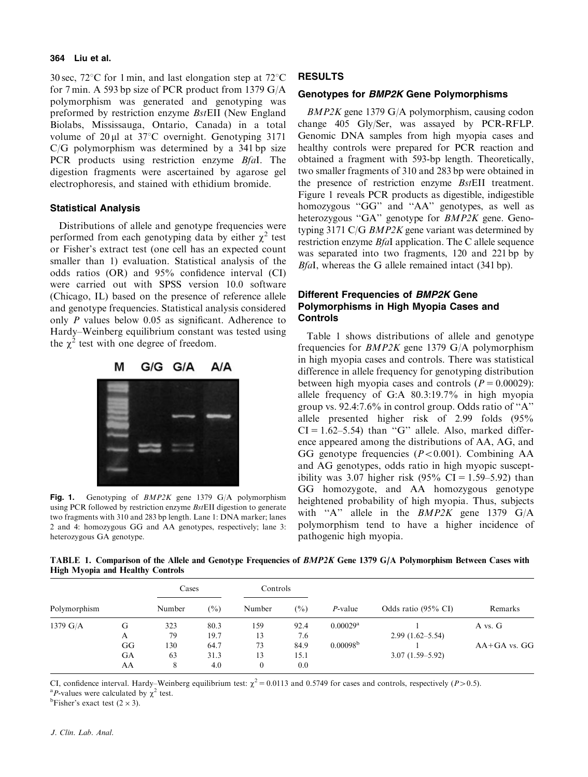#### 364 Liu et al.

30 sec,  $72^{\circ}$ C for 1 min, and last elongation step at  $72^{\circ}$ C for 7 min. A 593 bp size of PCR product from 1379 G/A polymorphism was generated and genotyping was preformed by restriction enzyme BstEII (New England Biolabs, Mississauga, Ontario, Canada) in a total volume of  $20 \mu$ l at  $37^{\circ}$ C overnight. Genotyping 3171 C/G polymorphism was determined by a 341 bp size PCR products using restriction enzyme *BfaI*. The digestion fragments were ascertained by agarose gel electrophoresis, and stained with ethidium bromide.

## Statistical Analysis

Distributions of allele and genotype frequencies were performed from each genotyping data by either  $\chi^2$  test or Fisher's extract test (one cell has an expected count smaller than 1) evaluation. Statistical analysis of the odds ratios (OR) and 95% confidence interval (CI) were carried out with SPSS version 10.0 software (Chicago, IL) based on the presence of reference allele and genotype frequencies. Statistical analysis considered only P values below 0.05 as significant. Adherence to Hardy–Weinberg equilibrium constant was tested using the  $\chi^2$  test with one degree of freedom.



Fig. 1. Genotyping of *BMP2K* gene 1379 G/A polymorphism using PCR followed by restriction enzyme BstEII digestion to generate two fragments with 310 and 283 bp length. Lane 1: DNA marker; lanes 2 and 4: homozygous GG and AA genotypes, respectively; lane 3: heterozygous GA genotype.

#### RESULTS

## Genotypes for BMP2K Gene Polymorphisms

BMP2K gene 1379 G/A polymorphism, causing codon change 405 Gly/Ser, was assayed by PCR-RFLP. Genomic DNA samples from high myopia cases and healthy controls were prepared for PCR reaction and obtained a fragment with 593-bp length. Theoretically, two smaller fragments of 310 and 283 bp were obtained in the presence of restriction enzyme BstEII treatment. Figure 1 reveals PCR products as digestible, indigestible homozygous "GG" and "AA" genotypes, as well as heterozygous "GA" genotype for BMP2K gene. Genotyping 3171 C/G  $BMP2K$  gene variant was determined by restriction enzyme BfaI application. The C allele sequence was separated into two fragments, 120 and 221 bp by BfaI, whereas the G allele remained intact (341 bp).

# Different Frequencies of BMP2K Gene Polymorphisms in High Myopia Cases and Controls

Table 1 shows distributions of allele and genotype frequencies for BMP2K gene 1379 G/A polymorphism in high myopia cases and controls. There was statistical difference in allele frequency for genotyping distribution between high myopia cases and controls  $(P = 0.00029)$ : allele frequency of G:A 80.3:19.7% in high myopia group vs. 92.4:7.6% in control group. Odds ratio of ''A'' allele presented higher risk of 2.99 folds (95%  $CI = 1.62–5.54$ ) than "G" allele. Also, marked difference appeared among the distributions of AA, AG, and GG genotype frequencies  $(P<0.001)$ . Combining AA and AG genotypes, odds ratio in high myopic susceptibility was 3.07 higher risk  $(95\% \text{ CI} = 1.59-5.92)$  than GG homozygote, and AA homozygous genotype heightened probability of high myopia. Thus, subjects with "A" allele in the  $BMP2K$  gene 1379 G/A polymorphism tend to have a higher incidence of pathogenic high myopia.

TABLE 1. Comparison of the Allele and Genotype Frequencies of BMP2K Gene 1379 G/A Polymorphism Between Cases with High Myopia and Healthy Controls

|                    |    | Cases  |                                       | Controls            |         |                        |                     |                |
|--------------------|----|--------|---------------------------------------|---------------------|---------|------------------------|---------------------|----------------|
| Polymorphism       |    | Number | $(\%)$<br>(%)<br>Number<br>$P$ -value | Odds ratio (95% CI) | Remarks |                        |                     |                |
| $1379 \text{ G/A}$ | G  | 323    | 80.3                                  | 159                 | 92.4    | $0.00029$ <sup>a</sup> |                     | A vs. G        |
|                    | A  | 79     | 19.7                                  | 13                  | 7.6     |                        | $2.99(1.62 - 5.54)$ |                |
|                    | GG | 130    | 64.7                                  | 73                  | 84.9    | 0.00098 <sup>b</sup>   |                     | $AA+GA$ vs. GG |
|                    | GА | 63     | 31.3                                  | 13                  | 15.1    |                        | $3.07(1.59 - 5.92)$ |                |
|                    | AA | 8      | 4.0                                   | $\overline{0}$      | 0.0     |                        |                     |                |

CI, confidence interval. Hardy–Weinberg equilibrium test:  $\chi^2 = 0.0113$  and 0.5749 for cases and controls, respectively (P > 0.5).

<sup>a</sup>P-values were calculated by  $\chi^2$  test.

<sup>b</sup>Fisher's exact test  $(2 \times 3)$ .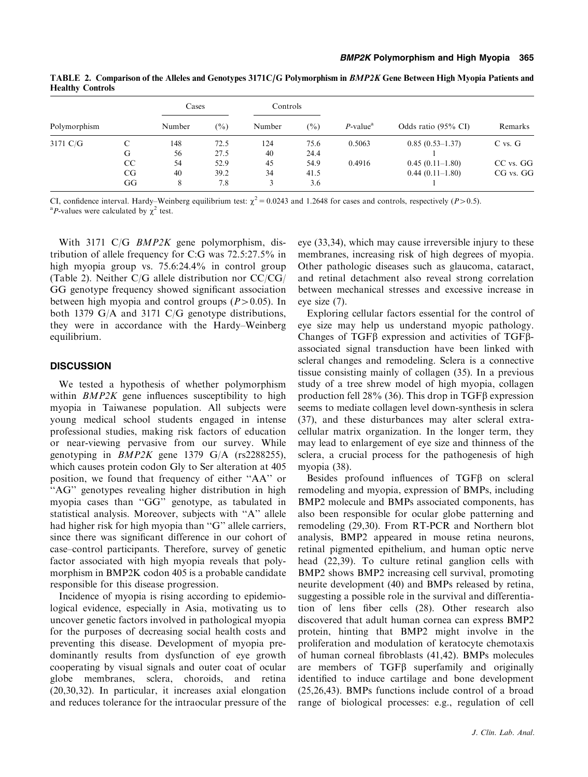|                    |    | Cases  |                | Controls |        |                         |                     |             |
|--------------------|----|--------|----------------|----------|--------|-------------------------|---------------------|-------------|
| Polymorphism       |    | Number | $\binom{0}{0}$ | Number   | $(\%)$ | $P$ -value <sup>a</sup> | Odds ratio (95% CI) | Remarks     |
| $3171 \text{ C/G}$ |    | 148    | 72.5           | 124      | 75.6   | 0.5063                  | $0.85(0.53-1.37)$   | $C$ vs. $G$ |
|                    | G  | 56     | 27.5           | 40       | 24.4   |                         |                     |             |
|                    | CC | 54     | 52.9           | 45       | 54.9   | 0.4916                  | $0.45(0.11-1.80)$   | CC vs. GG   |
|                    | CG | 40     | 39.2           | 34       | 41.5   |                         | $0.44(0.11-1.80)$   | CG vs. GG   |
|                    | GG | 8      | 7.8            |          | 3.6    |                         |                     |             |

TABLE 2. Comparison of the Alleles and Genotypes 3171C/G Polymorphism in BMP2K Gene Between High Myopia Patients and Healthy Controls

CI, confidence interval. Hardy–Weinberg equilibrium test:  $\chi^2 = 0.0243$  and 1.2648 for cases and controls, respectively (P > 0.5). <sup>a</sup>P-values were calculated by  $\chi^2$  test.

With 3171 C/G *BMP2K* gene polymorphism, distribution of allele frequency for C:G was 72.5:27.5% in high myopia group vs. 75.6:24.4% in control group (Table 2). Neither C/G allele distribution nor CC/CG/ GG genotype frequency showed significant association between high myopia and control groups  $(P>0.05)$ . In both 1379 G/A and 3171 C/G genotype distributions, they were in accordance with the Hardy–Weinberg equilibrium.

# **DISCUSSION**

We tested a hypothesis of whether polymorphism within BMP2K gene influences susceptibility to high myopia in Taiwanese population. All subjects were young medical school students engaged in intense professional studies, making risk factors of education or near-viewing pervasive from our survey. While genotyping in  $BMP2K$  gene 1379 G/A (rs2288255), which causes protein codon Gly to Ser alteration at 405 position, we found that frequency of either ''AA'' or "AG" genotypes revealing higher distribution in high myopia cases than ''GG'' genotype, as tabulated in statistical analysis. Moreover, subjects with ''A'' allele had higher risk for high myopia than "G" allele carriers, since there was significant difference in our cohort of case–control participants. Therefore, survey of genetic factor associated with high myopia reveals that polymorphism in BMP2K codon 405 is a probable candidate responsible for this disease progression.

Incidence of myopia is rising according to epidemiological evidence, especially in Asia, motivating us to uncover genetic factors involved in pathological myopia for the purposes of decreasing social health costs and preventing this disease. Development of myopia predominantly results from dysfunction of eye growth cooperating by visual signals and outer coat of ocular globe membranes, sclera, choroids, and retina (20,30,32). In particular, it increases axial elongation and reduces tolerance for the intraocular pressure of the eye (33,34), which may cause irreversible injury to these membranes, increasing risk of high degrees of myopia. Other pathologic diseases such as glaucoma, cataract, and retinal detachment also reveal strong correlation between mechanical stresses and excessive increase in eye size (7).

Exploring cellular factors essential for the control of eye size may help us understand myopic pathology. Changes of TGF<sub>B</sub> expression and activities of TGF<sub>B</sub>associated signal transduction have been linked with scleral changes and remodeling. Sclera is a connective tissue consisting mainly of collagen (35). In a previous study of a tree shrew model of high myopia, collagen production fell 28% (36). This drop in TGF $\beta$  expression seems to mediate collagen level down-synthesis in sclera (37), and these disturbances may alter scleral extracellular matrix organization. In the longer term, they may lead to enlargement of eye size and thinness of the sclera, a crucial process for the pathogenesis of high myopia (38).

Besides profound influences of  $TGF\beta$  on scleral remodeling and myopia, expression of BMPs, including BMP2 molecule and BMPs associated components, has also been responsible for ocular globe patterning and remodeling (29,30). From RT-PCR and Northern blot analysis, BMP2 appeared in mouse retina neurons, retinal pigmented epithelium, and human optic nerve head (22,39). To culture retinal ganglion cells with BMP2 shows BMP2 increasing cell survival, promoting neurite development (40) and BMPs released by retina, suggesting a possible role in the survival and differentiation of lens fiber cells (28). Other research also discovered that adult human cornea can express BMP2 protein, hinting that BMP2 might involve in the proliferation and modulation of keratocyte chemotaxis of human corneal fibroblasts (41,42). BMPs molecules are members of  $TGF\beta$  superfamily and originally identified to induce cartilage and bone development (25,26,43). BMPs functions include control of a broad range of biological processes: e.g., regulation of cell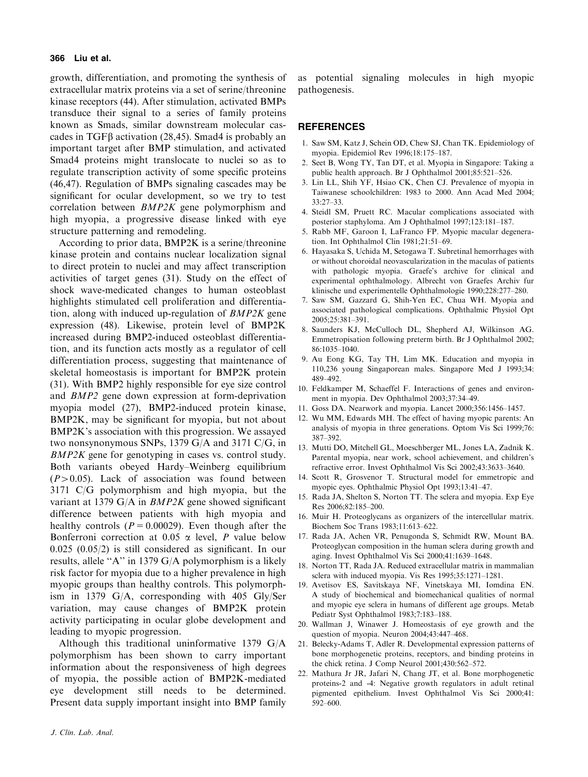#### 366 Liu et al.

growth, differentiation, and promoting the synthesis of extracellular matrix proteins via a set of serine/threonine kinase receptors (44). After stimulation, activated BMPs transduce their signal to a series of family proteins known as Smads, similar downstream molecular cascades in  $TGF\beta$  activation (28,45). Smad4 is probably an important target after BMP stimulation, and activated Smad4 proteins might translocate to nuclei so as to regulate transcription activity of some specific proteins (46,47). Regulation of BMPs signaling cascades may be significant for ocular development, so we try to test correlation between BMP2K gene polymorphism and high myopia, a progressive disease linked with eye structure patterning and remodeling.

According to prior data, BMP2K is a serine/threonine kinase protein and contains nuclear localization signal to direct protein to nuclei and may affect transcription activities of target genes (31). Study on the effect of shock wave-medicated changes to human osteoblast highlights stimulated cell proliferation and differentiation, along with induced up-regulation of BMP2K gene expression (48). Likewise, protein level of BMP2K increased during BMP2-induced osteoblast differentiation, and its function acts mostly as a regulator of cell differentiation process, suggesting that maintenance of skeletal homeostasis is important for BMP2K protein (31). With BMP2 highly responsible for eye size control and BMP2 gene down expression at form-deprivation myopia model (27), BMP2-induced protein kinase, BMP2K, may be significant for myopia, but not about BMP2K's association with this progression. We assayed two nonsynonymous SNPs, 1379 G/A and 3171 C/G, in BMP2K gene for genotyping in cases vs. control study. Both variants obeyed Hardy–Weinberg equilibrium  $(P>0.05)$ . Lack of association was found between 3171 C/G polymorphism and high myopia, but the variant at 1379 G/A in  $BMP2K$  gene showed significant difference between patients with high myopia and healthy controls ( $P = 0.00029$ ). Even though after the Bonferroni correction at 0.05  $\alpha$  level, P value below 0.025 (0.05/2) is still considered as significant. In our results, allele ''A'' in 1379 G/A polymorphism is a likely risk factor for myopia due to a higher prevalence in high myopic groups than healthy controls. This polymorphism in 1379 G/A, corresponding with 405 Gly/Ser variation, may cause changes of BMP2K protein activity participating in ocular globe development and leading to myopic progression.

Although this traditional uninformative 1379 G/A polymorphism has been shown to carry important information about the responsiveness of high degrees of myopia, the possible action of BMP2K-mediated eye development still needs to be determined. Present data supply important insight into BMP family

as potential signaling molecules in high myopic pathogenesis.

#### **REFERENCES**

- 1. Saw SM, Katz J, Schein OD, Chew SJ, Chan TK. Epidemiology of myopia. Epidemiol Rev 1996;18:175–187.
- 2. Seet B, Wong TY, Tan DT, et al. Myopia in Singapore: Taking a public health approach. Br J Ophthalmol 2001;85:521–526.
- 3. Lin LL, Shih YF, Hsiao CK, Chen CJ. Prevalence of myopia in Taiwanese schoolchildren: 1983 to 2000. Ann Acad Med 2004; 33:27–33.
- 4. Steidl SM, Pruett RC. Macular complications associated with posterior staphyloma. Am J Ophthalmol 1997;123:181–187.
- 5. Rabb MF, Garoon I, LaFranco FP. Myopic macular degeneration. Int Ophthalmol Clin 1981;21:51–69.
- 6. Hayasaka S, Uchida M, Setogawa T. Subretinal hemorrhages with or without choroidal neovascularization in the maculas of patients with pathologic myopia. Graefe's archive for clinical and experimental ophthalmology. Albrecht von Graefes Archiv fur klinische und experimentelle Ophthalmologie 1990;228:277–280.
- 7. Saw SM, Gazzard G, Shih-Yen EC, Chua WH. Myopia and associated pathological complications. Ophthalmic Physiol Opt 2005;25:381–391.
- 8. Saunders KJ, McCulloch DL, Shepherd AJ, Wilkinson AG. Emmetropisation following preterm birth. Br J Ophthalmol 2002; 86:1035–1040.
- 9. Au Eong KG, Tay TH, Lim MK. Education and myopia in 110,236 young Singaporean males. Singapore Med J 1993;34: 489–492.
- 10. Feldkamper M, Schaeffel F. Interactions of genes and environment in myopia. Dev Ophthalmol 2003;37:34–49.
- 11. Goss DA. Nearwork and myopia. Lancet 2000;356:1456–1457.
- 12. Wu MM, Edwards MH. The effect of having myopic parents: An analysis of myopia in three generations. Optom Vis Sci 1999;76: 387–392.
- 13. Mutti DO, Mitchell GL, Moeschberger ML, Jones LA, Zadnik K. Parental myopia, near work, school achievement, and children's refractive error. Invest Ophthalmol Vis Sci 2002;43:3633–3640.
- 14. Scott R, Grosvenor T. Structural model for emmetropic and myopic eyes. Ophthalmic Physiol Opt 1993;13:41–47.
- 15. Rada JA, Shelton S, Norton TT. The sclera and myopia. Exp Eye Res 2006;82:185–200.
- 16. Muir H. Proteoglycans as organizers of the intercellular matrix. Biochem Soc Trans 1983;11:613–622.
- 17. Rada JA, Achen VR, Penugonda S, Schmidt RW, Mount BA. Proteoglycan composition in the human sclera during growth and aging. Invest Ophthalmol Vis Sci 2000;41:1639–1648.
- 18. Norton TT, Rada JA. Reduced extracellular matrix in mammalian sclera with induced myopia. Vis Res 1995;35:1271–1281.
- 19. Avetisov ES, Savitskaya NF, Vinetskaya MI, Iomdina EN. A study of biochemical and biomechanical qualities of normal and myopic eye sclera in humans of different age groups. Metab Pediatr Syst Ophthalmol 1983;7:183–188.
- 20. Wallman J, Winawer J. Homeostasis of eye growth and the question of myopia. Neuron 2004;43:447–468.
- 21. Belecky-Adams T, Adler R. Developmental expression patterns of bone morphogenetic proteins, receptors, and binding proteins in the chick retina. J Comp Neurol 2001;430:562–572.
- 22. Mathura Jr JR, Jafari N, Chang JT, et al. Bone morphogenetic proteins-2 and -4: Negative growth regulators in adult retinal pigmented epithelium. Invest Ophthalmol Vis Sci 2000;41: 592–600.